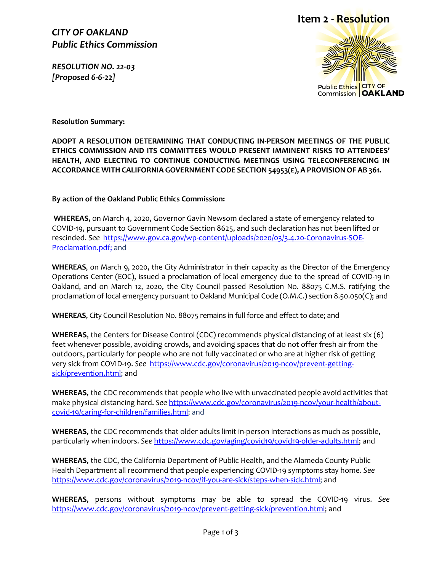*CITY OF OAKLAND Public Ethics Commission*

*RESOLUTION NO. 22-03 [Proposed 6-6-22]* 

## **Item 2 - Resolution**



**Resolution Summary:**

**ADOPT A RESOLUTION DETERMINING THAT CONDUCTING IN-PERSON MEETINGS OF THE PUBLIC ETHICS COMMISSION AND ITS COMMITTEES WOULD PRESENT IMMINENT RISKS TO ATTENDEES' HEALTH, AND ELECTING TO CONTINUE CONDUCTING MEETINGS USING TELECONFERENCING IN ACCORDANCE WITH CALIFORNIA GOVERNMENT CODE SECTION 54953(E), A PROVISIONOF AB 361.**

**By action of the Oakland Public Ethics Commission:**

**WHEREAS,** on March 4, 2020, Governor Gavin Newsom declared a state of emergency related to COVID-19, pursuant to Government Code Section 8625, and such declaration has not been lifted or rescinded. *See* [https://www.gov.ca.gov/wp-content/uploads/2020/03/3.4.20-Coronavirus-SOE-](https://www.gov.ca.gov/wp-content/uploads/2020/03/3.4.20-Coronavirus-SOE-Proclamation.pdf)[Proclamation.pdf;](https://www.gov.ca.gov/wp-content/uploads/2020/03/3.4.20-Coronavirus-SOE-Proclamation.pdf) and

**WHEREAS**, on March 9, 2020, the City Administrator in their capacity as the Director of the Emergency Operations Center (EOC), issued a proclamation of local emergency due to the spread of COVID-19 in Oakland, and on March 12, 2020, the City Council passed Resolution No. 88075 C.M.S. ratifying the proclamation of local emergency pursuant to Oakland Municipal Code (O.M.C.) section 8.50.050(C); and

**WHEREAS**, City Council Resolution No. 88075 remains in full force and effect to date; and

**WHEREAS**, the Centers for Disease Control (CDC) recommends physical distancing of at least six (6) feet whenever possible, avoiding crowds, and avoiding spaces that do not offer fresh air from the outdoors, particularly for people who are not fully vaccinated or who are at higher risk of getting very sick from COVID-19. *See* [https://www.cdc.gov/coronavirus/2019-ncov/prevent-getting](https://www.cdc.gov/coronavirus/2019-ncov/prevent-getting-sick/prevention.html)[sick/prevention.html;](https://www.cdc.gov/coronavirus/2019-ncov/prevent-getting-sick/prevention.html) and

**WHEREAS**, the CDC recommends that people who live with unvaccinated people avoid activities that make physical distancing hard. *See* [https://www.cdc.gov/coronavirus/2019-ncov/your-health/about](https://www.cdc.gov/coronavirus/2019-ncov/your-health/about-covid-19/caring-for-children/families.html)[covid-19/caring-for-children/families.html;](https://www.cdc.gov/coronavirus/2019-ncov/your-health/about-covid-19/caring-for-children/families.html) and

**WHEREAS**, the CDC recommends that older adults limit in-person interactions as much as possible, particularly when indoors. *See* [https://www.cdc.gov/aging/covid19/covid19-older-adults.html;](https://www.cdc.gov/aging/covid19/covid19-older-adults.html) and

**WHEREAS**, the CDC, the California Department of Public Health, and the Alameda County Public Health Department all recommend that people experiencing COVID-19 symptoms stay home. *See* [https://www.cdc.gov/coronavirus/2019-ncov/if-you-are-sick/steps-when-sick.html;](https://www.cdc.gov/coronavirus/2019-ncov/if-you-are-sick/steps-when-sick.html) and

**WHEREAS**, persons without symptoms may be able to spread the COVID-19 virus. *See*  [https://www.cdc.gov/coronavirus/2019-ncov/prevent-getting-sick/prevention.html;](https://www.cdc.gov/coronavirus/2019-ncov/prevent-getting-sick/prevention.html) and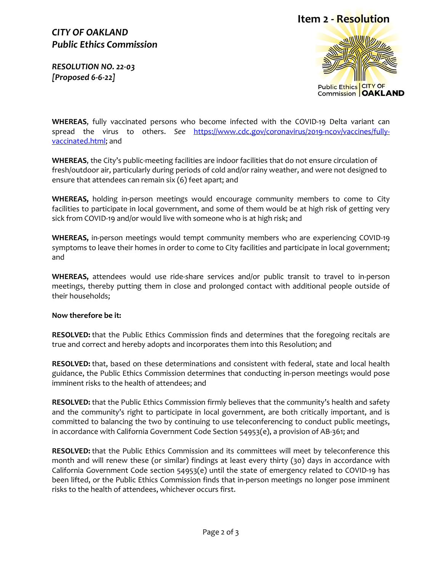### *CITY OF OAKLAND Public Ethics Commission*

*RESOLUTION NO. 22-03 [Proposed 6-6-22]* 

# **Item 2 - Resolution**



**WHEREAS**, fully vaccinated persons who become infected with the COVID-19 Delta variant can spread the virus to others. *See* [https://www.cdc.gov/coronavirus/2019-ncov/vaccines/fully](https://www.cdc.gov/coronavirus/2019-ncov/vaccines/fully-vaccinated.html)[vaccinated.html;](https://www.cdc.gov/coronavirus/2019-ncov/vaccines/fully-vaccinated.html) and

**WHEREAS**, the City's public-meeting facilities are indoor facilities that do not ensure circulation of fresh/outdoor air, particularly during periods of cold and/or rainy weather, and were not designed to ensure that attendees can remain six (6) feet apart; and

**WHEREAS,** holding in-person meetings would encourage community members to come to City facilities to participate in local government, and some of them would be at high risk of getting very sick from COVID-19 and/or would live with someone who is at high risk; and

**WHEREAS,** in-person meetings would tempt community members who are experiencing COVID-19 symptoms to leave their homes in order to come to City facilities and participate in local government; and

**WHEREAS,** attendees would use ride-share services and/or public transit to travel to in-person meetings, thereby putting them in close and prolonged contact with additional people outside of their households;

#### **Now therefore be it:**

**RESOLVED:** that the Public Ethics Commission finds and determines that the foregoing recitals are true and correct and hereby adopts and incorporates them into this Resolution; and

**RESOLVED:** that, based on these determinations and consistent with federal, state and local health guidance, the Public Ethics Commission determines that conducting in-person meetings would pose imminent risks to the health of attendees; and

**RESOLVED:** that the Public Ethics Commission firmly believes that the community's health and safety and the community's right to participate in local government, are both critically important, and is committed to balancing the two by continuing to use teleconferencing to conduct public meetings, in accordance with California Government Code Section 54953(e), a provision of AB-361; and

**RESOLVED:** that the Public Ethics Commission and its committees will meet by teleconference this month and will renew these (or similar) findings at least every thirty (30) days in accordance with California Government Code section 54953(e) until the state of emergency related to COVID-19 has been lifted, or the Public Ethics Commission finds that in-person meetings no longer pose imminent risks to the health of attendees, whichever occurs first.